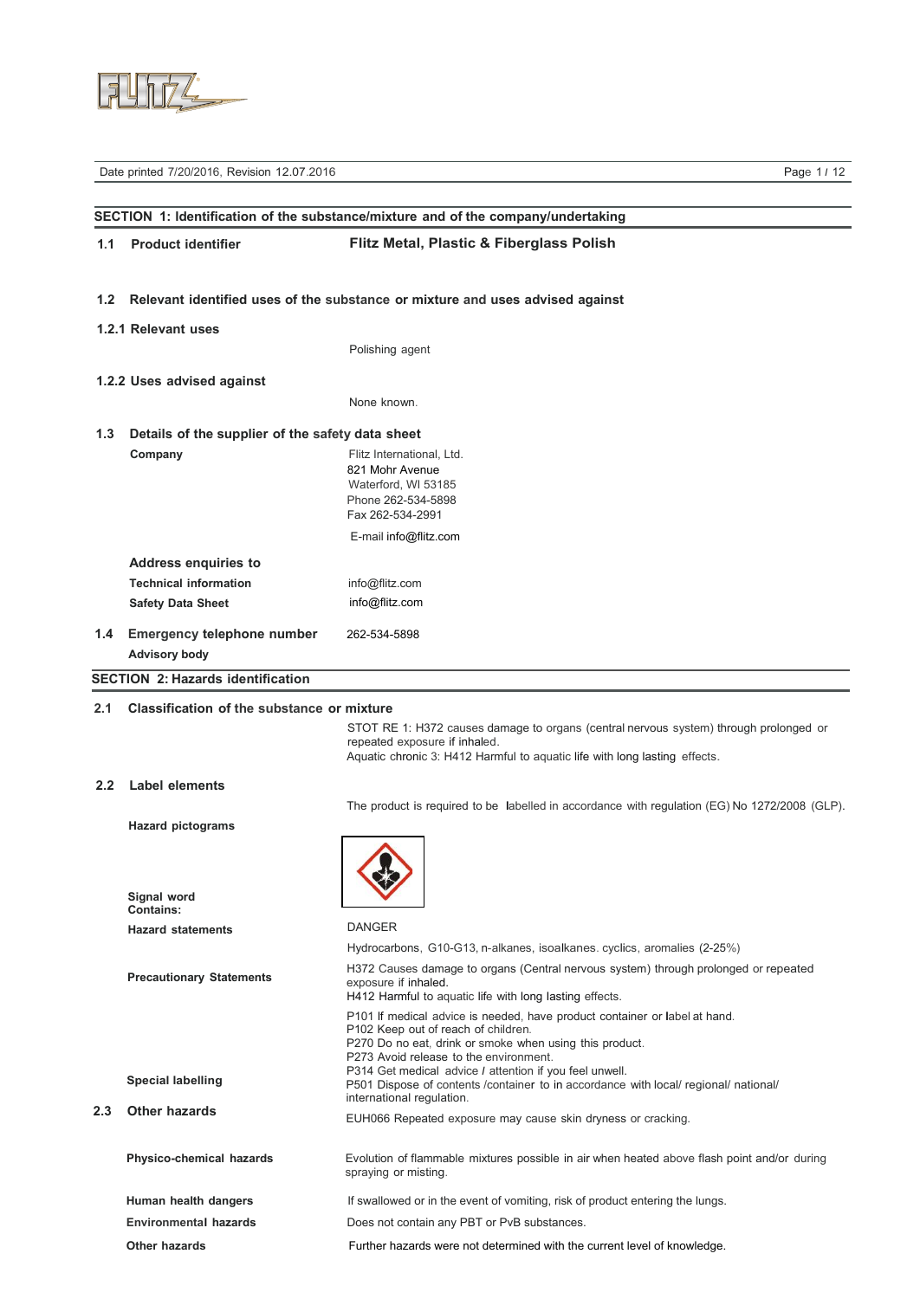

|                  | Date printed 7/20/2016, Revision 12.07.2016               | Page 1/12                                                                                                                                                                                                                                                                         |
|------------------|-----------------------------------------------------------|-----------------------------------------------------------------------------------------------------------------------------------------------------------------------------------------------------------------------------------------------------------------------------------|
|                  |                                                           |                                                                                                                                                                                                                                                                                   |
|                  |                                                           | SECTION 1: Identification of the substance/mixture and of the company/undertaking                                                                                                                                                                                                 |
| 1.1              | <b>Product identifier</b>                                 | Flitz Metal, Plastic & Fiberglass Polish                                                                                                                                                                                                                                          |
| 1.2 <sub>2</sub> |                                                           | Relevant identified uses of the substance or mixture and uses advised against                                                                                                                                                                                                     |
|                  | 1.2.1 Relevant uses                                       |                                                                                                                                                                                                                                                                                   |
|                  |                                                           | Polishing agent                                                                                                                                                                                                                                                                   |
|                  | 1.2.2 Uses advised against                                |                                                                                                                                                                                                                                                                                   |
|                  |                                                           | None known.                                                                                                                                                                                                                                                                       |
| 1.3              | Details of the supplier of the safety data sheet          |                                                                                                                                                                                                                                                                                   |
|                  | Company                                                   | Flitz International, Ltd.<br>821 Mohr Avenue<br>Waterford, WI 53185<br>Phone 262-534-5898<br>Fax 262-534-2991                                                                                                                                                                     |
|                  |                                                           | E-mail info@flitz.com                                                                                                                                                                                                                                                             |
|                  | <b>Address enquiries to</b>                               |                                                                                                                                                                                                                                                                                   |
|                  | <b>Technical information</b>                              | info@flitz.com                                                                                                                                                                                                                                                                    |
|                  | <b>Safety Data Sheet</b>                                  | info@flitz.com                                                                                                                                                                                                                                                                    |
| 1.4              | <b>Emergency telephone number</b><br><b>Advisory body</b> | 262-534-5898                                                                                                                                                                                                                                                                      |
|                  | <b>SECTION 2: Hazards identification</b>                  |                                                                                                                                                                                                                                                                                   |
| 2.1              | <b>Classification of the substance or mixture</b>         |                                                                                                                                                                                                                                                                                   |
|                  |                                                           | STOT RE 1: H372 causes damage to organs (central nervous system) through prolonged or<br>repeated exposure if inhaled.<br>Aquatic chronic 3: H412 Harmful to aquatic life with long lasting effects.                                                                              |
| $2.2^{\circ}$    | <b>Label elements</b>                                     |                                                                                                                                                                                                                                                                                   |
|                  |                                                           | The product is required to be labelled in accordance with regulation (EG) No 1272/2008 (GLP).                                                                                                                                                                                     |
|                  | <b>Hazard pictograms</b>                                  |                                                                                                                                                                                                                                                                                   |
|                  | Signal word<br><b>Contains:</b>                           |                                                                                                                                                                                                                                                                                   |
|                  | <b>Hazard statements</b>                                  | <b>DANGER</b>                                                                                                                                                                                                                                                                     |
|                  |                                                           | Hydrocarbons, G10-G13, n-alkanes, isoalkanes. cyclics, aromalies (2-25%)                                                                                                                                                                                                          |
|                  | <b>Precautionary Statements</b>                           | H372 Causes damage to organs (Central nervous system) through prolonged or repeated<br>exposure if inhaled.<br>H412 Harmful to aquatic life with long lasting effects.                                                                                                            |
|                  | <b>Special labelling</b>                                  | P101 If medical advice is needed, have product container or label at hand.<br>P102 Keep out of reach of children.<br>P270 Do no eat, drink or smoke when using this product.<br>P273 Avoid release to the environment.<br>P314 Get medical advice I attention if you feel unwell. |
|                  |                                                           | P501 Dispose of contents / container to in accordance with local/ regional/ national/<br>international regulation.                                                                                                                                                                |
| 2.3              | Other hazards                                             | EUH066 Repeated exposure may cause skin dryness or cracking.                                                                                                                                                                                                                      |
|                  | Physico-chemical hazards                                  | Evolution of flammable mixtures possible in air when heated above flash point and/or during<br>spraying or misting.                                                                                                                                                               |

**Human health dangers** If swallowed or in the event of vomiting, risk of product entering the lungs.

**Environmental hazards Does not contain any PBT or PvB substances.** 

**Other hazards** Further hazards were not determined with the current level of knowledge.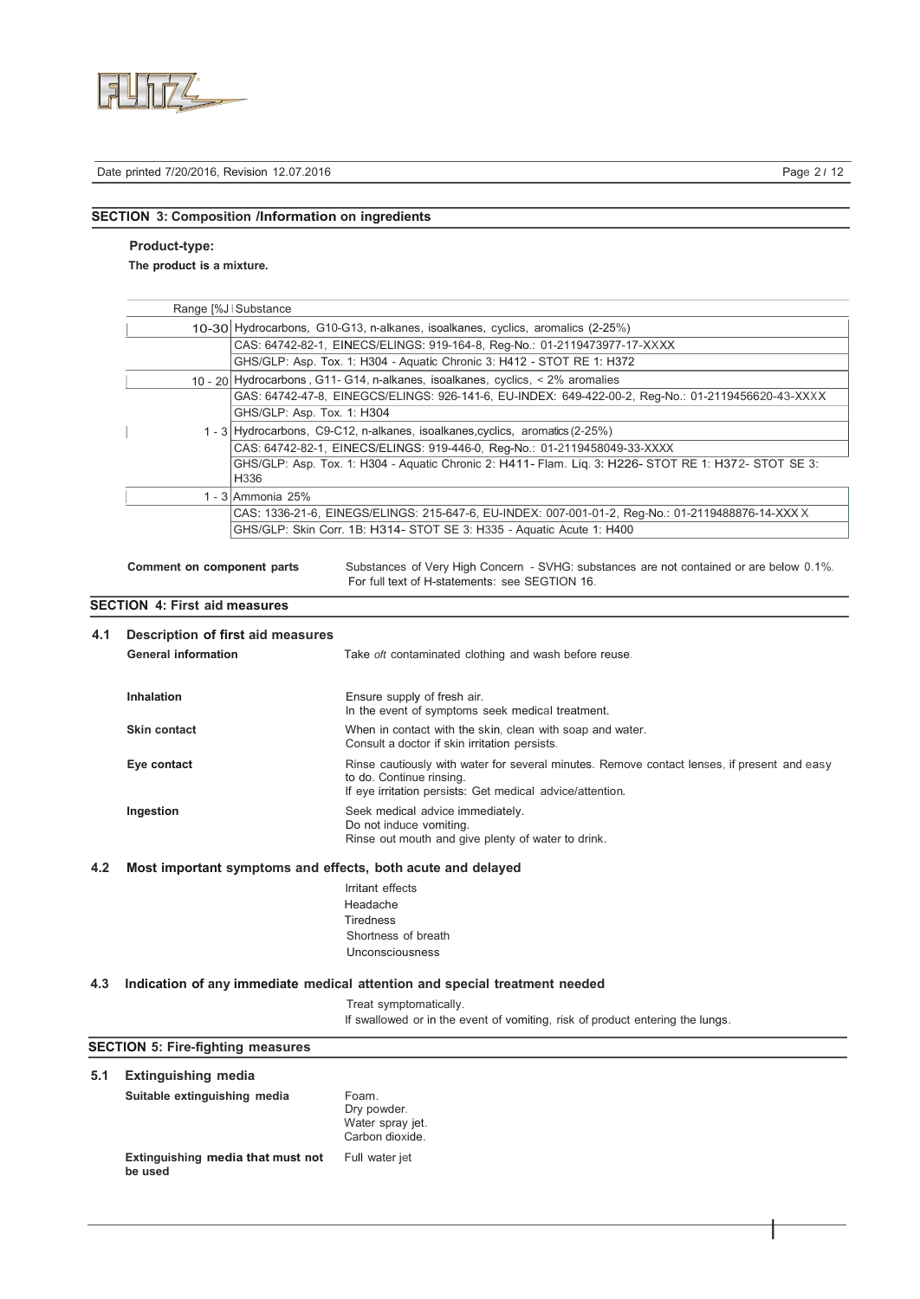

I

# **SECTION 3: Composition /Information on ingredients**

### **Product-type:**

**The product is a mixture.**

|                                                                                                                                                                                                                                                                             |                                                                                                    | Range [%J   Substance |                                                                                                                                                                                      |
|-----------------------------------------------------------------------------------------------------------------------------------------------------------------------------------------------------------------------------------------------------------------------------|----------------------------------------------------------------------------------------------------|-----------------------|--------------------------------------------------------------------------------------------------------------------------------------------------------------------------------------|
| 10-30 Hydrocarbons, G10-G13, n-alkanes, isoalkanes, cyclics, aromalics (2-25%)                                                                                                                                                                                              |                                                                                                    |                       |                                                                                                                                                                                      |
| CAS: 64742-82-1, EINECS/ELINGS: 919-164-8, Reg-No.: 01-2119473977-17-XXXX                                                                                                                                                                                                   |                                                                                                    |                       |                                                                                                                                                                                      |
| GHS/GLP: Asp. Tox. 1: H304 - Aquatic Chronic 3: H412 - STOT RE 1: H372                                                                                                                                                                                                      |                                                                                                    |                       |                                                                                                                                                                                      |
| 10 - 20 Hydrocarbons, G11 - G14, n-alkanes, isoalkanes, cyclics, < 2% aromalies                                                                                                                                                                                             |                                                                                                    |                       |                                                                                                                                                                                      |
|                                                                                                                                                                                                                                                                             | GAS: 64742-47-8, EINEGCS/ELINGS: 926-141-6, EU-INDEX: 649-422-00-2, Reg-No.: 01-2119456620-43-XXXX |                       |                                                                                                                                                                                      |
|                                                                                                                                                                                                                                                                             | GHS/GLP: Asp. Tox. 1: H304                                                                         |                       |                                                                                                                                                                                      |
| 1 - 3 Hydrocarbons, C9-C12, n-alkanes, isoalkanes, cyclics, aromatics (2-25%)<br>CAS: 64742-82-1, EINECS/ELINGS: 919-446-0, Reg-No.: 01-2119458049-33-XXXX<br>GHS/GLP: Asp. Tox. 1: H304 - Aquatic Chronic 2: H411- Flam. Liq. 3: H226- STOT RE 1: H372- STOT SE 3:<br>H336 |                                                                                                    |                       |                                                                                                                                                                                      |
|                                                                                                                                                                                                                                                                             |                                                                                                    |                       |                                                                                                                                                                                      |
|                                                                                                                                                                                                                                                                             |                                                                                                    |                       |                                                                                                                                                                                      |
|                                                                                                                                                                                                                                                                             | CAS: 1336-21-6, EINEGS/ELINGS: 215-647-6, EU-INDEX: 007-001-01-2, Reg-No.: 01-2119488876-14-XXX X  |                       |                                                                                                                                                                                      |
|                                                                                                                                                                                                                                                                             |                                                                                                    |                       | GHS/GLP: Skin Corr. 1B: H314- STOT SE 3: H335 - Aquatic Acute 1: H400                                                                                                                |
|                                                                                                                                                                                                                                                                             | Comment on component parts                                                                         |                       | Substances of Very High Concern - SVHG: substances are not contained or are below 0.1%.<br>For full text of H-statements: see SEGTION 16.                                            |
|                                                                                                                                                                                                                                                                             | <b>SECTION 4: First aid measures</b>                                                               |                       |                                                                                                                                                                                      |
| 4.1                                                                                                                                                                                                                                                                         | Description of first aid measures                                                                  |                       |                                                                                                                                                                                      |
|                                                                                                                                                                                                                                                                             | <b>General information</b>                                                                         |                       | Take oft contaminated clothing and wash before reuse.                                                                                                                                |
|                                                                                                                                                                                                                                                                             |                                                                                                    |                       |                                                                                                                                                                                      |
|                                                                                                                                                                                                                                                                             | Inhalation                                                                                         |                       | Ensure supply of fresh air.<br>In the event of symptoms seek medical treatment.                                                                                                      |
|                                                                                                                                                                                                                                                                             | <b>Skin contact</b>                                                                                |                       | When in contact with the skin, clean with soap and water.<br>Consult a doctor if skin irritation persists.                                                                           |
|                                                                                                                                                                                                                                                                             | Eye contact                                                                                        |                       | Rinse cautiously with water for several minutes. Remove contact lenses, if present and easy<br>to do. Continue rinsing.<br>If eye irritation persists: Get medical advice/attention. |
|                                                                                                                                                                                                                                                                             | Ingestion                                                                                          |                       | Seek medical advice immediately.<br>Do not induce vomiting.<br>Rinse out mouth and give plenty of water to drink.                                                                    |
| 4.2                                                                                                                                                                                                                                                                         |                                                                                                    |                       | Most important symptoms and effects, both acute and delayed                                                                                                                          |
|                                                                                                                                                                                                                                                                             |                                                                                                    |                       |                                                                                                                                                                                      |
|                                                                                                                                                                                                                                                                             |                                                                                                    |                       | Irritant effects<br>Headache                                                                                                                                                         |
|                                                                                                                                                                                                                                                                             |                                                                                                    |                       | <b>Tiredness</b>                                                                                                                                                                     |
|                                                                                                                                                                                                                                                                             |                                                                                                    |                       | Shortness of breath                                                                                                                                                                  |
|                                                                                                                                                                                                                                                                             |                                                                                                    |                       | Unconsciousness                                                                                                                                                                      |
|                                                                                                                                                                                                                                                                             |                                                                                                    |                       |                                                                                                                                                                                      |
| 4.3                                                                                                                                                                                                                                                                         |                                                                                                    |                       | Indication of any immediate medical attention and special treatment needed                                                                                                           |
|                                                                                                                                                                                                                                                                             |                                                                                                    |                       | Treat symptomatically.<br>If swallowed or in the event of vomiting, risk of product entering the lungs.                                                                              |
|                                                                                                                                                                                                                                                                             |                                                                                                    |                       |                                                                                                                                                                                      |
|                                                                                                                                                                                                                                                                             | <b>SECTION 5: Fire-fighting measures</b>                                                           |                       |                                                                                                                                                                                      |
| 5.1                                                                                                                                                                                                                                                                         | <b>Extinguishing media</b>                                                                         |                       |                                                                                                                                                                                      |
|                                                                                                                                                                                                                                                                             | Suitable extinguishing media                                                                       |                       | Foam.<br>Dry powder.<br>Water spray jet.<br>Carbon dioxide.                                                                                                                          |

**Extinguishing media that must not be used** Full water jet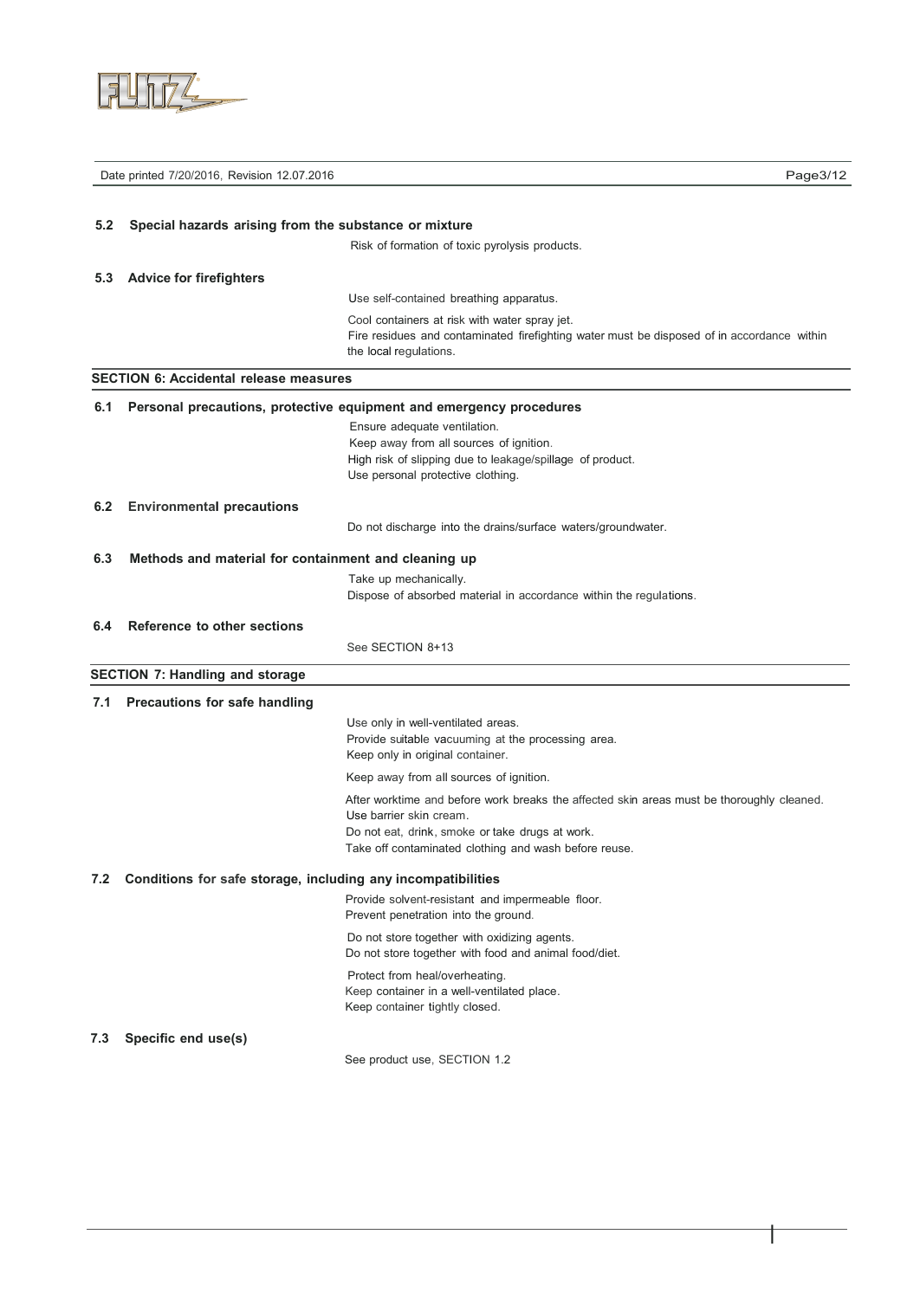

|     | Date printed 7/20/2016, Revision 12.07.2016                  |                                                                                                                                                                                                                                  | Page3/12 |
|-----|--------------------------------------------------------------|----------------------------------------------------------------------------------------------------------------------------------------------------------------------------------------------------------------------------------|----------|
|     |                                                              |                                                                                                                                                                                                                                  |          |
| 5.2 | Special hazards arising from the substance or mixture        |                                                                                                                                                                                                                                  |          |
|     |                                                              | Risk of formation of toxic pyrolysis products.                                                                                                                                                                                   |          |
| 5.3 | <b>Advice for firefighters</b>                               |                                                                                                                                                                                                                                  |          |
|     |                                                              | Use self-contained breathing apparatus.                                                                                                                                                                                          |          |
|     |                                                              | Cool containers at risk with water spray jet.<br>Fire residues and contaminated firefighting water must be disposed of in accordance within<br>the local regulations.                                                            |          |
|     | <b>SECTION 6: Accidental release measures</b>                |                                                                                                                                                                                                                                  |          |
| 6.1 |                                                              | Personal precautions, protective equipment and emergency procedures                                                                                                                                                              |          |
|     |                                                              | Ensure adequate ventilation.<br>Keep away from all sources of ignition.<br>High risk of slipping due to leakage/spillage of product.<br>Use personal protective clothing.                                                        |          |
| 6.2 | <b>Environmental precautions</b>                             |                                                                                                                                                                                                                                  |          |
|     |                                                              | Do not discharge into the drains/surface waters/groundwater.                                                                                                                                                                     |          |
| 6.3 | Methods and material for containment and cleaning up         |                                                                                                                                                                                                                                  |          |
|     |                                                              | Take up mechanically.                                                                                                                                                                                                            |          |
|     |                                                              | Dispose of absorbed material in accordance within the regulations.                                                                                                                                                               |          |
| 6.4 | Reference to other sections                                  |                                                                                                                                                                                                                                  |          |
|     |                                                              | See SECTION 8+13                                                                                                                                                                                                                 |          |
|     | <b>SECTION 7: Handling and storage</b>                       |                                                                                                                                                                                                                                  |          |
| 7.1 | Precautions for safe handling                                |                                                                                                                                                                                                                                  |          |
|     |                                                              | Use only in well-ventilated areas.<br>Provide suitable vacuuming at the processing area.<br>Keep only in original container.                                                                                                     |          |
|     |                                                              | Keep away from all sources of ignition.                                                                                                                                                                                          |          |
|     |                                                              | After worktime and before work breaks the affected skin areas must be thoroughly cleaned.<br>Use barrier skin cream.<br>Do not eat, drink, smoke or take drugs at work.<br>Take off contaminated clothing and wash before reuse. |          |
| 7.2 | Conditions for safe storage, including any incompatibilities |                                                                                                                                                                                                                                  |          |
|     |                                                              | Provide solvent-resistant and impermeable floor.<br>Prevent penetration into the ground.                                                                                                                                         |          |
|     |                                                              | Do not store together with oxidizing agents.<br>Do not store together with food and animal food/diet.                                                                                                                            |          |
|     |                                                              | Protect from heal/overheating.<br>Keep container in a well-ventilated place.<br>Keep container tightly closed.                                                                                                                   |          |
| 7.3 | Specific end use(s)                                          |                                                                                                                                                                                                                                  |          |
|     |                                                              | See product use, SECTION 1.2                                                                                                                                                                                                     |          |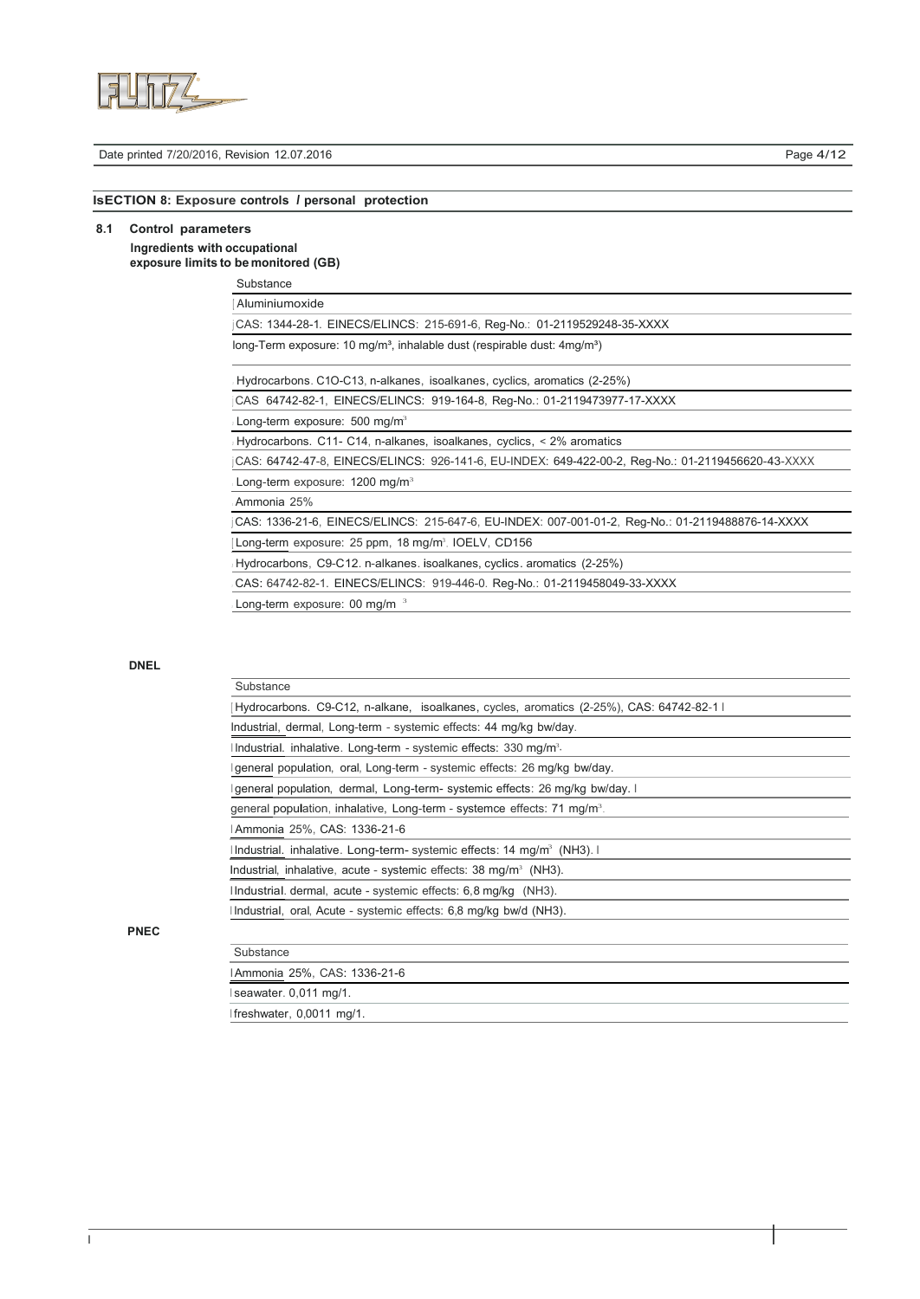

#### Date printed 7/20/2016, Revision 12.07.2016 **Page 4/12 Page 4/12**

# **lsECTION 8: Exposure controls** *I* **personal protection**

## **8.1 Control parameters lngredients with occupational**

# **exposure Iimits to be monitored (GB)**

| Substance |
|-----------|
|-----------|

| Aluminiumoxide                                                               |  |
|------------------------------------------------------------------------------|--|
| CAS: 1344-28-1. EINECS/ELINCS: 215-691-6, Reg-No.: 01-2119529248-35-XXXX     |  |
| long-Term exposure: 10 $mq/m3$ , inhalable dust (respirable dust: $4mq/m3$ ) |  |
| Hydrocarbons. C1O-C13, n-alkanes, isoalkanes, cyclics, aromatics (2-25%)     |  |

|  | CAS 64742-82-1, EINECS/ELINCS: 919-164-8, Reg-No.: 01-2119473977-17-XXXX |  |  |
|--|--------------------------------------------------------------------------|--|--|

Long-term exposure: 500 mg/m<sup>3</sup>

Hydrocarbons. C11- C14, n-alkanes, isoalkanes, cyclics, < 2% aromatics

Long-term exposure: 1200 mg/m<sup>3</sup> <sup>j</sup> CAS: 64742-47-8, EINECS/ELINCS: 926-141-6, EU-INDEX: 649-422-00-2, Reg-No.: 01-2119456620-43-XXXX

#### Ammonia 25%

<sup>j</sup> CAS: 1336-21-6, EINECS/ELINCS: 215-647-6, EU-INDEX: 007-001-01-2, Reg-No.: 01-2119488876-14-XXXX

[Long-term exposure: 25 ppm, 18 mg/m<sup>3</sup>, IOELV, CD156

Hydrocarbons, C9-C12. n-alkanes. isoalkanes, cyclics. aromatics (2-25%)

CAS: 64742-82-1. EINECS/ELINCS: 919-446-0. Reg-No.: 01-2119458049-33-XXXX

Long-term exposure: 00 mg/m <sup>3</sup>

### **DNEL**

**PNEC**

| Substance                                                                                |
|------------------------------------------------------------------------------------------|
| Hydrocarbons. C9-C12, n-alkane, isoalkanes, cycles, aromatics (2-25%), CAS: 64742-82-1 l |
| Industrial, dermal, Long-term - systemic effects: 44 mg/kg bw/day.                       |
| Industrial. inhalative. Long-term - systemic effects: 330 mg/m <sup>3</sup> .            |
| general population, oral, Long-term - systemic effects: 26 mg/kg bw/day.                 |
| general population, dermal, Long-term- systemic effects: 26 mg/kg bw/day. I              |
| general population, inhalative, Long-term - systemce effects: 71 mg/m <sup>3</sup> .     |
| Ammonia 25%, CAS: 1336-21-6                                                              |
| Industrial. inhalative. Long-term- systemic effects: 14 mg/m <sup>3</sup> (NH3). I       |
| Industrial, inhalative, acute - systemic effects: 38 mg/m <sup>3</sup> (NH3).            |
| Industrial. dermal, acute - systemic effects: 6,8 mg/kg (NH3).                           |
| Industrial, oral, Acute - systemic effects: 6,8 mg/kg bw/d (NH3).                        |
|                                                                                          |
| Substance                                                                                |
| IAmmonia 25%, CAS: 1336-21-6                                                             |
| seawater. 0,011 mg/1.                                                                    |

I freshwater, 0,0011 mg/1.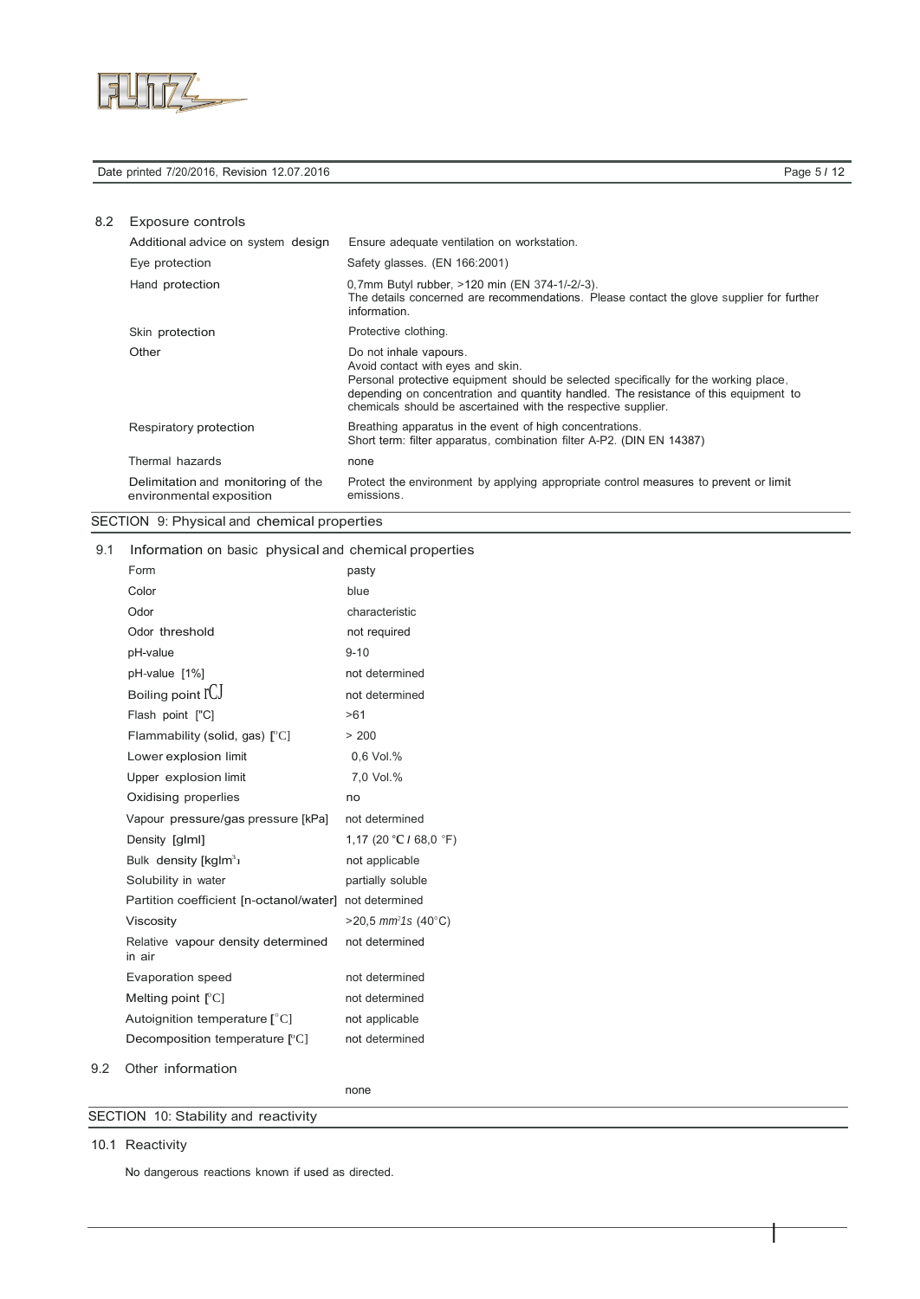

### Date printed 7/20/2016, Revision 12.07.2016 **Page 5 / 12 Page 5 / 12**

I

# 8.2 Exposure controls

| Additional advice on system design                             | Ensure adequate ventilation on workstation.                                                                                                                                                                                                                                                                  |
|----------------------------------------------------------------|--------------------------------------------------------------------------------------------------------------------------------------------------------------------------------------------------------------------------------------------------------------------------------------------------------------|
| Eye protection                                                 | Safety glasses. (EN 166:2001)                                                                                                                                                                                                                                                                                |
| Hand protection                                                | 0,7mm Butyl rubber, >120 min (EN 374-1/-2/-3).<br>The details concerned are recommendations. Please contact the glove supplier for further<br>information.                                                                                                                                                   |
| Skin protection                                                | Protective clothing.                                                                                                                                                                                                                                                                                         |
| Other                                                          | Do not inhale vapours.<br>Avoid contact with eyes and skin.<br>Personal protective equipment should be selected specifically for the working place.<br>depending on concentration and quantity handled. The resistance of this equipment to<br>chemicals should be ascertained with the respective supplier. |
| Respiratory protection                                         | Breathing apparatus in the event of high concentrations.<br>Short term: filter apparatus, combination filter A-P2. (DIN EN 14387)                                                                                                                                                                            |
| Thermal hazards                                                | none                                                                                                                                                                                                                                                                                                         |
| Delimitation and monitoring of the<br>environmental exposition | Protect the environment by applying appropriate control measures to prevent or limit<br>emissions.                                                                                                                                                                                                           |

# SECTION 9: Physical and chemical properties

9.1 Information on basic physical and chemical properties

| Form                                                   | pasty                              |
|--------------------------------------------------------|------------------------------------|
| Color                                                  | blue                               |
| Odor                                                   | characteristic                     |
| Odor threshold                                         | not required                       |
| pH-value                                               | $9 - 10$                           |
| pH-value [1%]                                          | not determined                     |
| Boiling point IUJ                                      | not determined                     |
| Flash point ["C]                                       | >61                                |
| Flammability (solid, gas) $[°C]$                       | > 200                              |
| Lower explosion limit                                  | 0.6 Vol.%                          |
| Upper explosion limit                                  | 7,0 Vol.%                          |
| Oxidising properlies                                   | no                                 |
| Vapour pressure/gas pressure [kPa]                     | not determined                     |
| Density [glml]                                         | 1,17 (20 °C / 68,0 °F)             |
| Bulk density $[kg/m3]$                                 | not applicable                     |
| Solubility in water                                    | partially soluble                  |
| Partition coefficient [n-octanol/water] not determined |                                    |
| Viscosity                                              | $>$ 20,5 mm <sup>2</sup> 1s (40°C) |
| Relative vapour density determined<br>in air           | not determined                     |
| Evaporation speed                                      | not determined                     |
| Melting point $\lfloor C \rfloor$                      | not determined                     |
| Autoignition temperature $[^{\circ}C]$                 | not applicable                     |
| Decomposition temperature [°C]                         | not determined                     |
| $\bigcap$ thor information                             |                                    |

9.2 Other information

none

SECTION 10: Stability and reactivity

10.1 Reactivity

No dangerous reactions known if used as directed.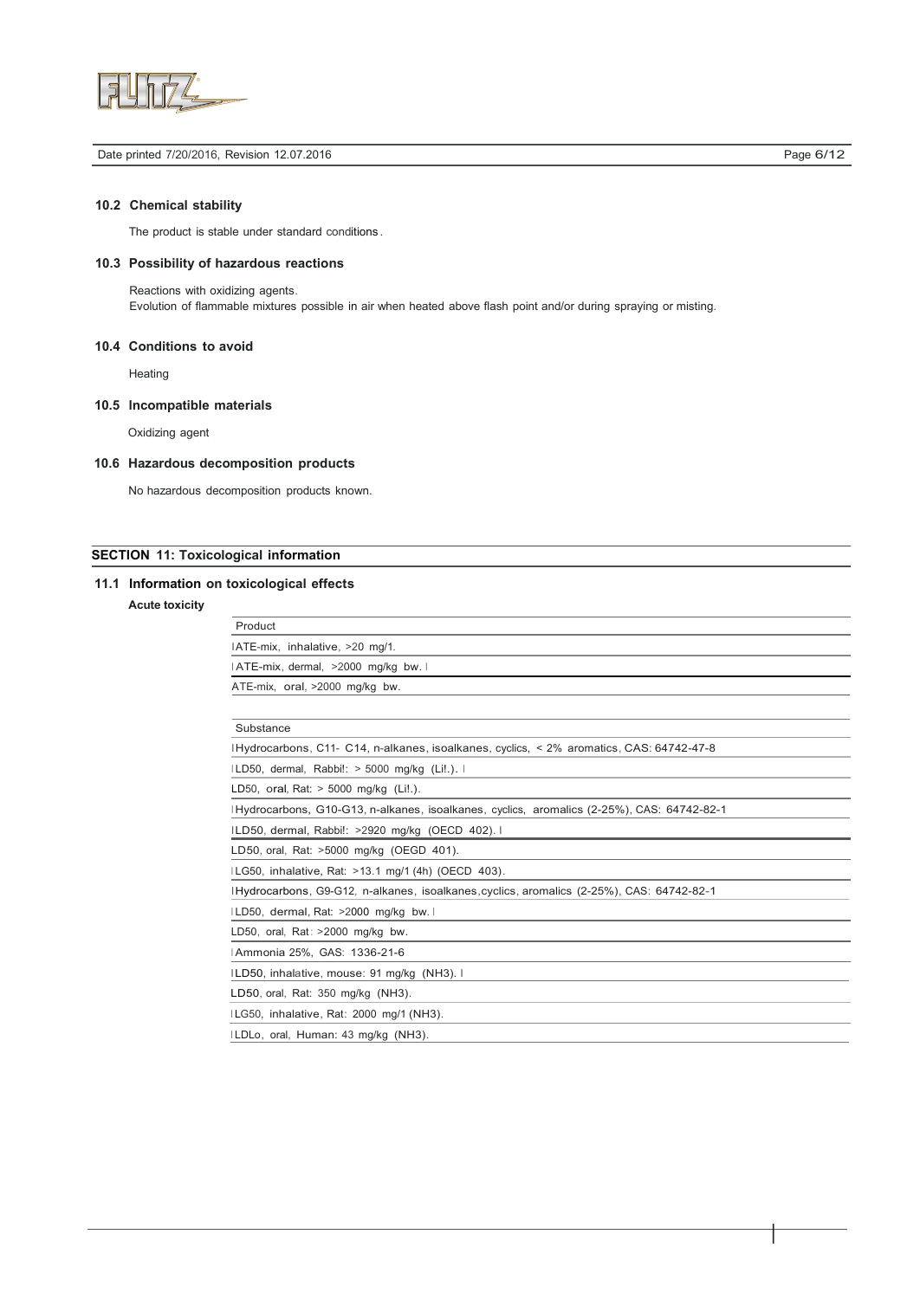

#### Date printed 7/20/2016, Revision 12.07.2016 **Page 6/12 Page 6/12**

I

## **10.2 Chemical stability**

The product is stable under standard conditions .

### **10.3 Possibility of hazardous reactions**

Reactions with oxidizing agents. Evolution of flammable mixtures possible in air when heated above flash point and/or during spraying or misting.

### **10.4 Conditions to avoid**

**Heating** 

## **10.5 lncompatible materials**

Oxidizing agent

## **10.6 Hazardous decomposition products**

No hazardous decomposition products known.

## **SECTION 11: Toxicological information**

### **11.1 Information on toxicological effects**

## **Acute toxicity**

| Product                                                                                    |
|--------------------------------------------------------------------------------------------|
| IATE-mix, inhalative, >20 mg/1.                                                            |
| IATE-mix, dermal, >2000 mg/kg bw. I                                                        |
| ATE-mix, oral, >2000 mg/kg bw.                                                             |
|                                                                                            |
| Substance                                                                                  |
| IHydrocarbons, C11- C14, n-alkanes, isoalkanes, cyclics, < 2% aromatics, CAS: 64742-47-8   |
| ILD50, dermal, Rabbi!: > 5000 mg/kg (Li!.).                                                |
| LD50, oral, Rat: $> 5000$ mg/kg (Li!.).                                                    |
| IHydrocarbons, G10-G13, n-alkanes, isoalkanes, cyclics, aromalics (2-25%), CAS: 64742-82-1 |
| ILD50, dermal, Rabbi!: >2920 mg/kg (OECD 402). I                                           |
| LD50, oral, Rat: >5000 mg/kg (OEGD 401).                                                   |
| ILG50, inhalative, Rat: >13.1 mg/1 (4h) (OECD 403).                                        |
| IHydrocarbons, G9-G12, n-alkanes, isoalkanes, cyclics, aromalics (2-25%), CAS: 64742-82-1  |
| ILD50, dermal, Rat: >2000 mg/kg bw. I                                                      |
| LD50, oral, Rat: $>2000$ mg/kg bw.                                                         |
| Ammonia 25%, GAS: 1336-21-6                                                                |
|                                                                                            |

ILD50, inhalative, mouse: 91 mg/kg (NH3). I

LD50, oral, Rat: 350 mg/kg (NH3).

I LG50, inhalative, Rat: 2000 mg/1 (NH3).

I LDLo, oral, Human: 43 mg/kg (NH3).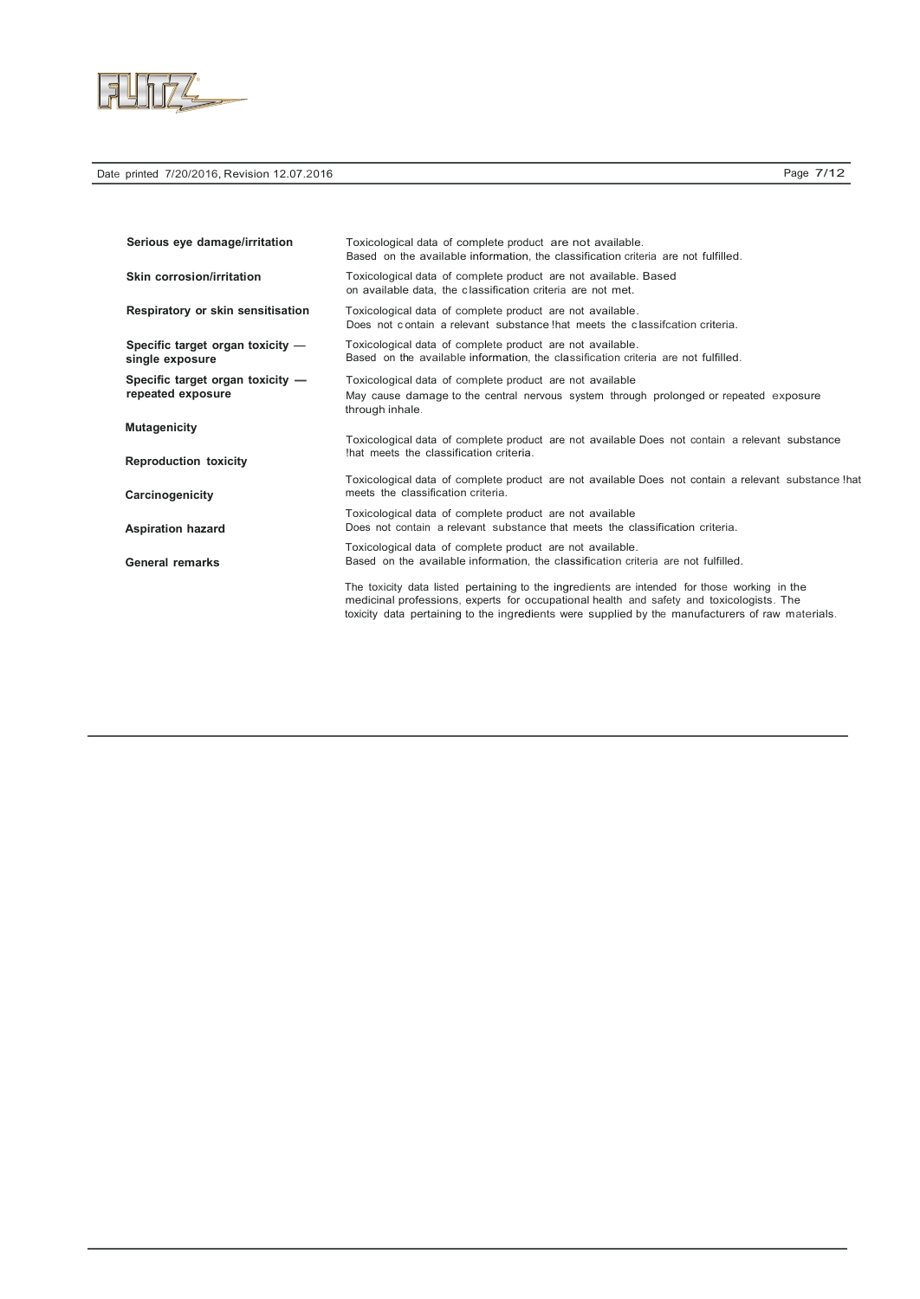

| Serious eye damage/irritation                         | Toxicological data of complete product are not available.<br>Based on the available information, the classification criteria are not fulfilled.                                                                                                                                              |
|-------------------------------------------------------|----------------------------------------------------------------------------------------------------------------------------------------------------------------------------------------------------------------------------------------------------------------------------------------------|
| Skin corrosion/irritation                             | Toxicological data of complete product are not available. Based<br>on available data, the classification criteria are not met.                                                                                                                                                               |
| Respiratory or skin sensitisation                     | Toxicological data of complete product are not available.<br>Does not contain a relevant substance that meets the classification criteria.                                                                                                                                                   |
| Specific target organ toxicity -<br>single exposure   | Toxicological data of complete product are not available.<br>Based on the available information, the classification criteria are not fulfilled.                                                                                                                                              |
| Specific target organ toxicity -<br>repeated exposure | Toxicological data of complete product are not available<br>May cause damage to the central nervous system through prolonged or repeated exposure<br>through inhale.                                                                                                                         |
| <b>Mutagenicity</b><br><b>Reproduction toxicity</b>   | Toxicological data of complete product are not available Does not contain a relevant substance<br>that meets the classification criteria.                                                                                                                                                    |
| Carcinogenicity                                       | Toxicological data of complete product are not available Does not contain a relevant substance !hat<br>meets the classification criteria.                                                                                                                                                    |
| <b>Aspiration hazard</b>                              | Toxicological data of complete product are not available<br>Does not contain a relevant substance that meets the classification criteria.                                                                                                                                                    |
| <b>General remarks</b>                                | Toxicological data of complete product are not available.<br>Based on the available information, the classification criteria are not fulfilled.                                                                                                                                              |
|                                                       | The toxicity data listed pertaining to the ingredients are intended for those working in the<br>medicinal professions, experts for occupational health and safety and toxicologists. The<br>toxicity data pertaining to the ingredients were supplied by the manufacturers of raw materials. |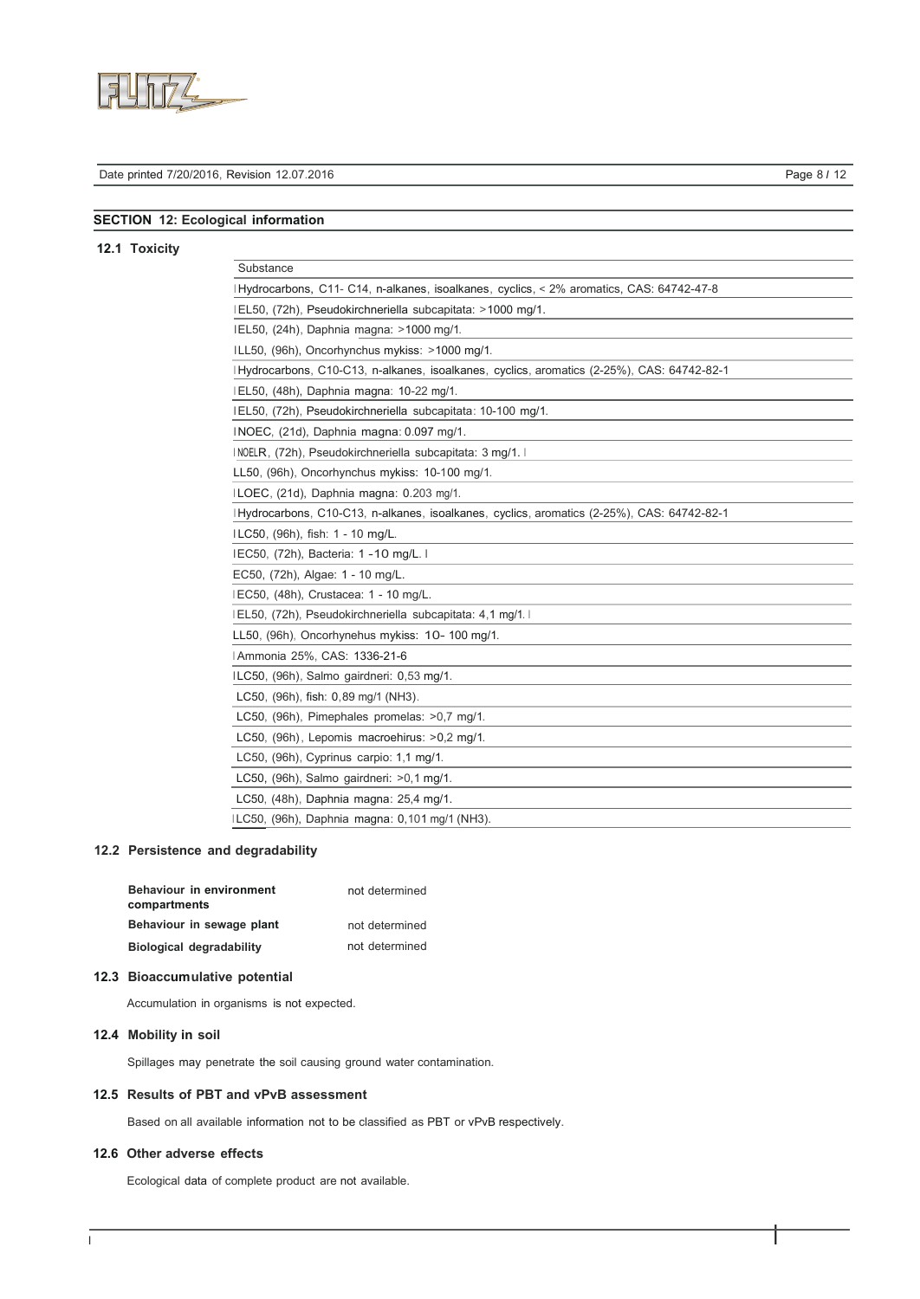

# Date printed 7/20/2016, Revision 12.07.2016 Page 8 *I* 12

## **SECTION 12: Ecological information**

## **12.1 Toxicity**

| Substance                                                                                   |
|---------------------------------------------------------------------------------------------|
| I Hydrocarbons, C11- C14, n-alkanes, isoalkanes, cyclics, < 2% aromatics, CAS: 64742-47-8   |
| IEL50, (72h), Pseudokirchneriella subcapitata: >1000 mg/1.                                  |
| IEL50, (24h), Daphnia magna: >1000 mg/1.                                                    |
| ILL50, (96h), Oncorhynchus mykiss: >1000 mg/1.                                              |
| I Hydrocarbons, C10-C13, n-alkanes, isoalkanes, cyclics, aromatics (2-25%), CAS: 64742-82-1 |
| EL50, (48h), Daphnia magna: 10-22 mg/1.                                                     |
| IEL50, (72h), Pseudokirchneriella subcapitata: 10-100 mg/1.                                 |
| INOEC, (21d), Daphnia magna: 0.097 mg/1.                                                    |
| INOELR, (72h), Pseudokirchneriella subcapitata: 3 mg/1.                                     |
| LL50, (96h), Oncorhynchus mykiss: 10-100 mg/1.                                              |
| ILOEC, (21d), Daphnia magna: 0.203 mg/1.                                                    |
| I Hydrocarbons, C10-C13, n-alkanes, isoalkanes, cyclics, aromatics (2-25%), CAS: 64742-82-1 |
| ILC50, (96h), fish: 1 - 10 mg/L.                                                            |
| IEC50, (72h), Bacteria: 1 -10 mg/L. I                                                       |
| EC50, (72h), Algae: 1 - 10 mg/L.                                                            |
| IEC50, (48h), Crustacea: 1 - 10 mg/L.                                                       |
| IEL50, (72h), Pseudokirchneriella subcapitata: 4,1 mg/1.                                    |
| LL50, (96h), Oncorhynehus mykiss: 10-100 mg/1.                                              |
| Ammonia 25%, CAS: 1336-21-6                                                                 |
| ILC50, (96h), Salmo gairdneri: 0,53 mg/1.                                                   |
| LC50, (96h), fish: 0,89 mg/1 (NH3).                                                         |
| LC50, (96h), Pimephales promelas: >0,7 mg/1.                                                |
| LC50, (96h), Lepomis macroehirus: >0,2 mg/1.                                                |
| LC50, (96h), Cyprinus carpio: 1,1 mg/1.                                                     |
| LC50, (96h), Salmo gairdneri: >0,1 mg/1.                                                    |
| LC50, (48h), Daphnia magna: 25,4 mg/1.                                                      |
| ILC50, (96h), Daphnia magna: 0,101 mg/1 (NH3).                                              |

# **12.2 Persistence and degradability**

| <b>Behaviour in environment</b> | not determined |
|---------------------------------|----------------|
| compartments                    |                |
| Behaviour in sewage plant       | not determined |
| <b>Biological degradability</b> | not determined |

## **12.3 Bioaccumulative potential**

Accumulation in organisms is not expected.

## **12.4 Mobility in soil**

Spillages may penetrate the soil causing ground water contamination.

### **12.5 Results of PBT and vPvB assessment**

Based on all available information not to be classified as PBT or vPvB respectively.

### **12.6 Other adverse effects**

Ecological data of complete product are not available.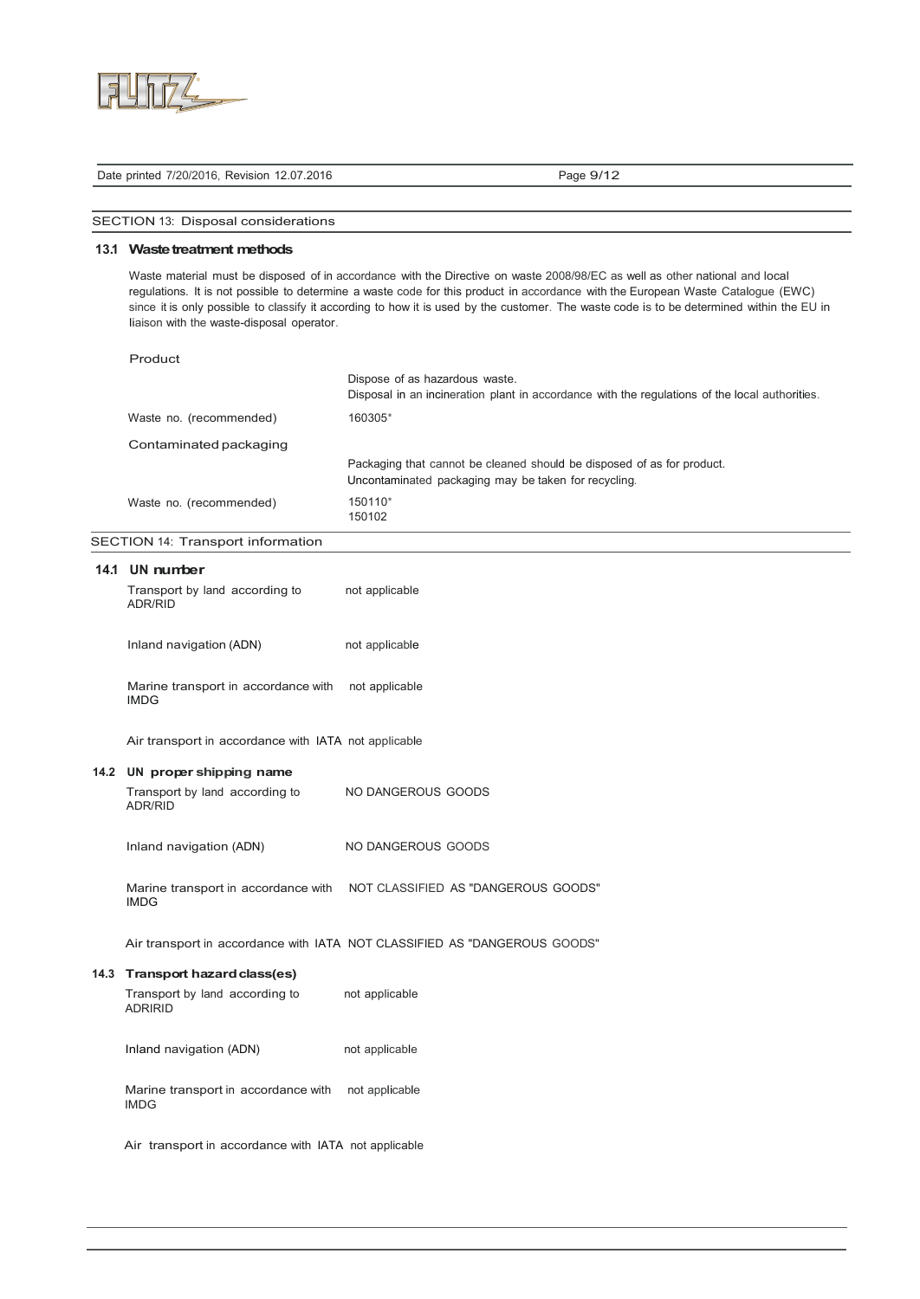

| Date printed 7/20/2016, Revision 12.07.2016 |  |
|---------------------------------------------|--|
|---------------------------------------------|--|

Page 9/12

SECTION 13: Disposal considerations

### **13.1 Waste treatment methods**

Waste material must be disposed of in accordance with the Directive on waste 2008/98/EC as well as other national and local regulations. lt is not possible to determine a waste code for this product in accordance with the European Waste Catalogue (EWC) since it is only possible to classify it according to how it is used by the customer. The waste code is to be determined within the EU in Iiaison with the waste-disposal operator.

| Product                 |                                                                                                |
|-------------------------|------------------------------------------------------------------------------------------------|
|                         | Dispose of as hazardous waste.                                                                 |
|                         | Disposal in an incineration plant in accordance with the regulations of the local authorities. |
| Waste no. (recommended) | 160305*                                                                                        |
| Contaminated packaging  |                                                                                                |
|                         | Packaging that cannot be cleaned should be disposed of as for product.                         |
|                         | Uncontaminated packaging may be taken for recycling.                                           |
| Waste no. (recommended) | 150110*                                                                                        |
|                         | 150102                                                                                         |

SECTION 14: Transport information

| 14.1 UN number                                       |                                                                         |
|------------------------------------------------------|-------------------------------------------------------------------------|
| Transport by land according to<br>ADR/RID            | not applicable                                                          |
| Inland navigation (ADN)                              | not applicable                                                          |
| Marine transport in accordance with<br><b>IMDG</b>   | not applicable                                                          |
| Air transport in accordance with IATA not applicable |                                                                         |
| 14.2 UN proper shipping name                         |                                                                         |
| Transport by land according to<br>ADR/RID            | NO DANGEROUS GOODS                                                      |
| Inland navigation (ADN)                              | NO DANGEROUS GOODS                                                      |
| <b>IMDG</b>                                          | Marine transport in accordance with NOT CLASSIFIED AS "DANGEROUS GOODS" |
|                                                      |                                                                         |

| 14.3 Transport hazard class(es)                    |                |
|----------------------------------------------------|----------------|
| Transport by land according to<br><b>ADRIRID</b>   | not applicable |
| Inland navigation (ADN)                            | not applicable |
| Marine transport in accordance with<br><b>IMDG</b> | not applicable |

Air transport in accordance with IATA not applicable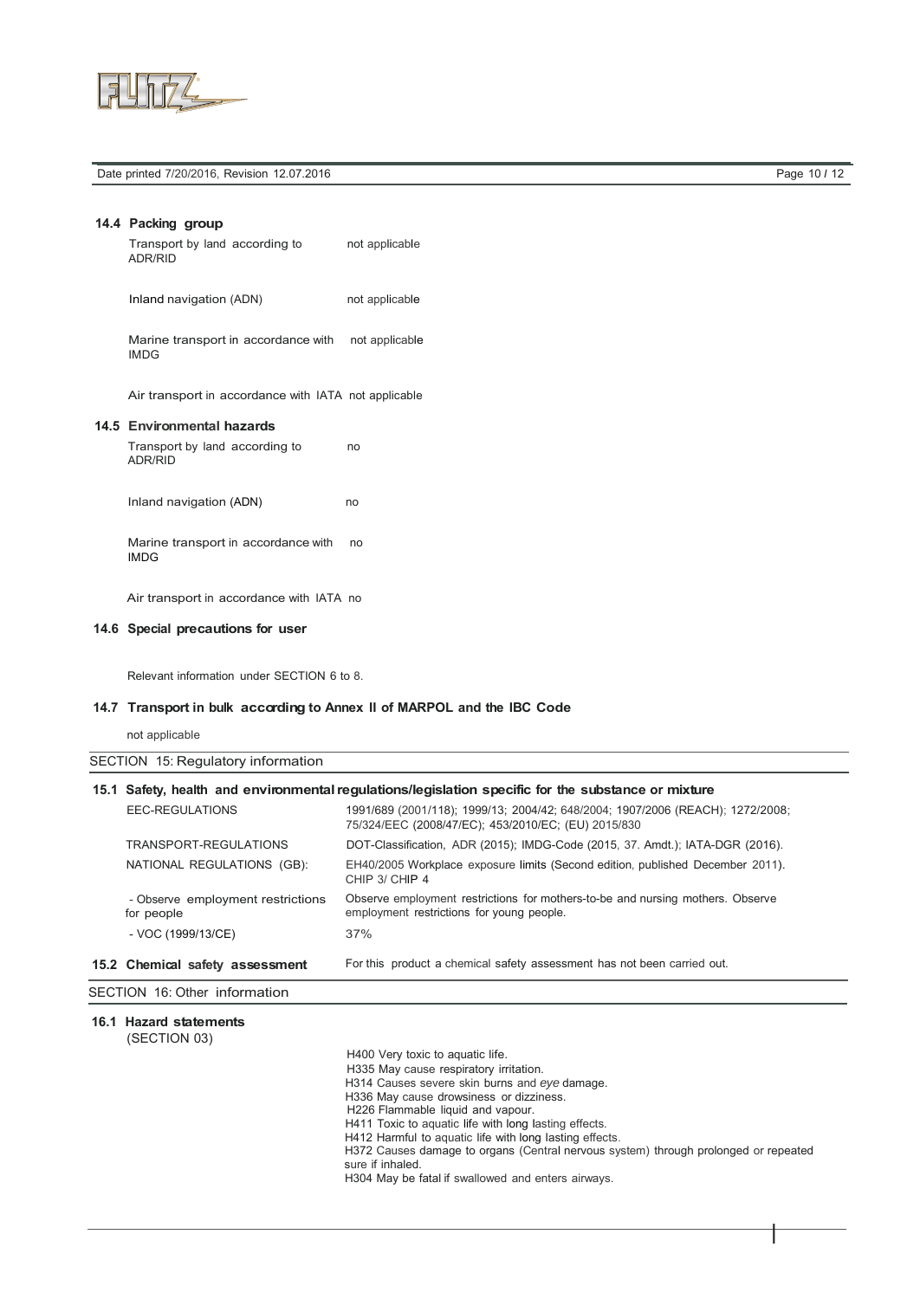

Date printed 7/20/2016, Revision 12.07.2016 Page 10 *I* 12

## **14.4 Packing group** Transport by land according to not applicable ADR/RID

Inland navigation (ADN) not applicable

Marine transport in accordance with not applicable IMDG

Air transport in accordance with IATA not applicable

#### **14.5 Environmental hazards**

Transport by land according to no ADR/RID

Inland navigation (ADN) no

Marine transport in accordance with no IMDG

Air transport in accordance with IATA no

## **14.6 Special precautions for user**

Relevant information under SECTION 6 to 8.

### **14.7 Transport in bulk according to Annex II of MARPOL and the IBC Code**

not applicable

|  | SECTION 15: Regulatory information |  |
|--|------------------------------------|--|
|--|------------------------------------|--|

### **15.1 Safety, health and environmental regulations/legislation specific for the substance or mixture** EEC-REGULATIONS 1991/689 (2001/118); 1999/13; 2004/42; 648/2004; 1907/2006 (REACH); 1272/2008;

| 15.2 Chemical safety assessment                 | For this product a chemical safety assessment has not been carried out.                                                     |
|-------------------------------------------------|-----------------------------------------------------------------------------------------------------------------------------|
| - VOC (1999/13/CE)                              | 37%                                                                                                                         |
| - Observe employment restrictions<br>for people | Observe employment restrictions for mothers-to-be and nursing mothers. Observe<br>employment restrictions for young people. |
| NATIONAL REGULATIONS (GB):                      | EH40/2005 Workplace exposure limits (Second edition, published December 2011).<br>CHIP 3/ CHIP 4                            |
| TRANSPORT-REGULATIONS                           | DOT-Classification, ADR (2015); IMDG-Code (2015, 37. Amdt.); IATA-DGR (2016).                                               |
|                                                 | 75/324/EEC (2008/47/EC); 453/2010/EC; (EU) 2015/830                                                                         |

#### SECTION 16: Other information

### **16.1 Hazard statements**

(SECTION 03)

H400 Very toxic to aquatic life. H335 May cause respiratory irritation. H314 Causes severe skin burns and *eye* damage. H336 May cause drowsiness or dizziness. H226 Flammable liquid and vapour. H411 Toxic to aquatic life with long Iasting effects. H412 Harmful to aquatic life with long lasting effects.

H372 Causes damage to organs (Central nervous system) through prolonged or repeated sure if inhaled.

I

H304 May be fatal if swallowed and enters airways.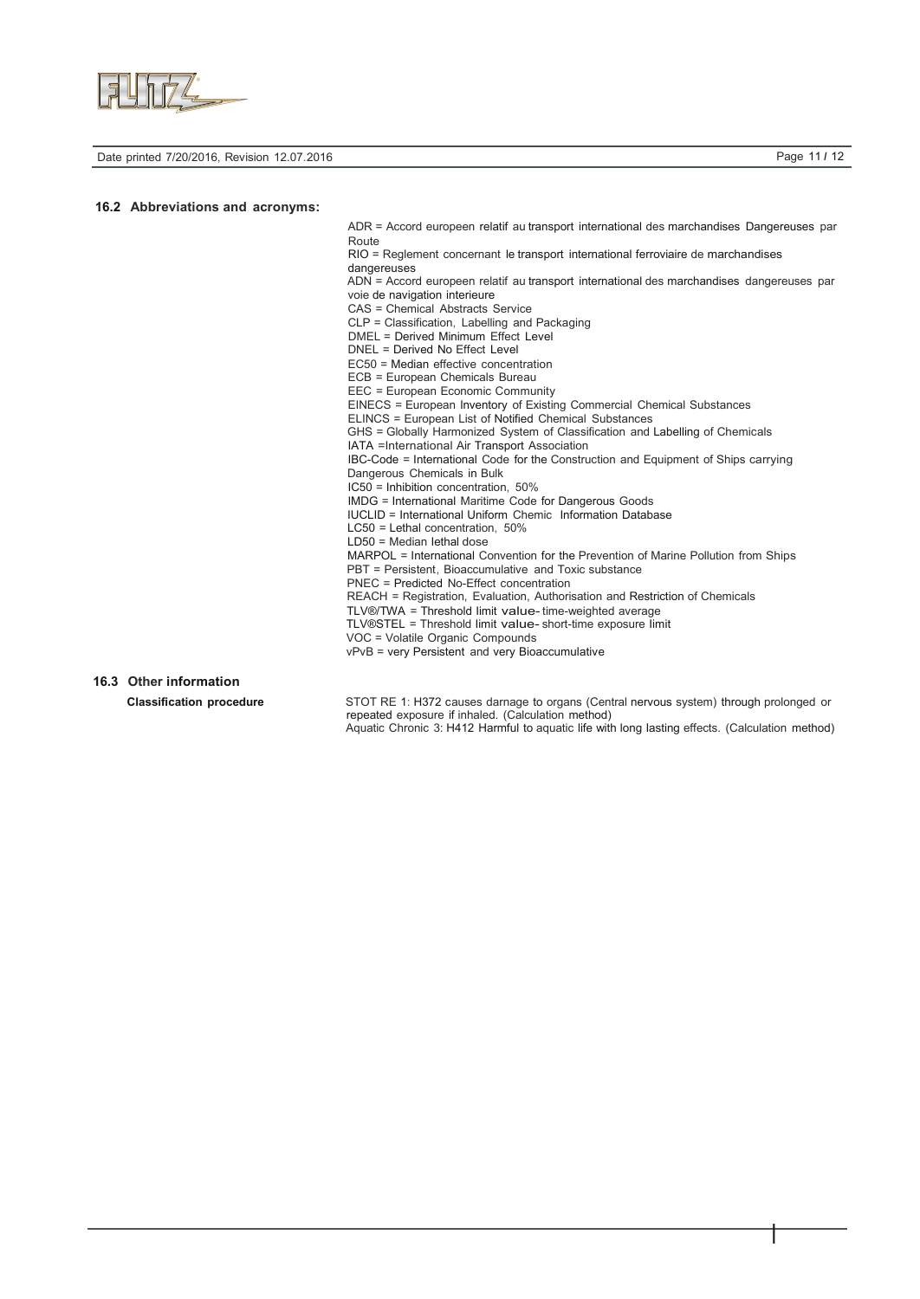

Date printed 7/20/2016, Revision 12.07.2016 Page 11 *I* 12

I

#### **16.2 Abbreviations and acronyms:**

ADR = Accord europeen relatif au transport international des marchandises Dangereuses par Route

RIO = Reglement concernant le transport international ferroviaire de marchandises dangereuses

ADN = Accord europeen relatif au transport international des marchandises dangereuses par voie de navigation interieure

CAS = Chemical Abstracts Service

CLP = Classification, Labelling and Packaging

DMEL = Derived Minimum Effect Level

DNEL = Derived No Effect Level

EC50 = Median effective concentration

ECB = European Chemicals Bureau

EEC = European Economic Community EINECS = European lnventory of Existing Commercial Chemical Substances

ELINCS = European List of Notified Chemical Substances

GHS = Globally Harmonized System of Classification and Labelling of Chemicals

IATA =International Air Transport Association

IBC-Code = International Code for the Construction and Equipment of Ships carrying Dangerous Chemicals in Bulk

IC50 = Inhibition concentration, 50%

IMDG = International Maritime Code for Dangerous Goods

IUCLID = International Uniform Chemic Information Database

- LC50 = Lethal concentration, 50%
- LD50 = Median Iethal dose

MARPOL = International Convention for the Prevention of Marine Pollution from Ships PBT = Persistent, Bioaccumulative and Toxic substance PNEC = Predicted No-Effect concentration

REACH = Registration, Evaluation, Authorisation and Restriction of Chemicals

TLV®/TWA = Threshold Iimit value- time-weighted average

TLV®STEL = Threshold Iimit value- short-time exposure Iimit

VOC = Volatile Organic Compounds

vPvB = very Persistent and very Bioaccumulative

## **16.3 Other information**

**Classification procedure** STOT RE 1: H372 causes darnage to organs (Central nervous system) through prolonged or repeated exposure if inhaled. (Calculation method) Aquatic Chronic 3: H412 Harmful to aquatic life with long Iasting effects. (Calculation method)